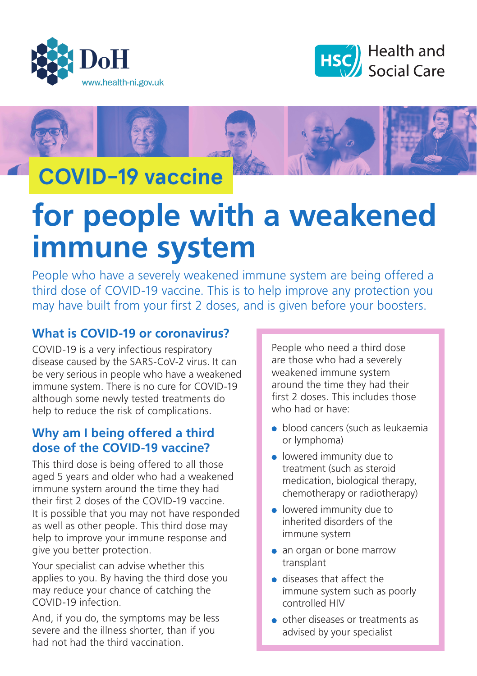





## **COVID-19 vaccine**

# **for people with a weakened immune system**

People who have a severely weakened immune system are being offered a third dose of COVID-19 vaccine. This is to help improve any protection you may have built from your first 2 doses, and is given before your boosters.

## **What is COVID-19 or coronavirus?**

COVID-19 is a very infectious respiratory disease caused by the SARS-CoV-2 virus. It can be very serious in people who have a weakened immune system. There is no cure for COVID-19 although some newly tested treatments do help to reduce the risk of complications.

## **Why am I being offered a third dose of the COVID-19 vaccine?**

This third dose is being offered to all those aged 5 years and older who had a weakened immune system around the time they had their first 2 doses of the COVID-19 vaccine. It is possible that you may not have responded as well as other people. This third dose may help to improve your immune response and give you better protection.

Your specialist can advise whether this applies to you. By having the third dose you may reduce your chance of catching the COVID-19 infection.

And, if you do, the symptoms may be less severe and the illness shorter, than if you had not had the third vaccination.

People who need a third dose are those who had a severely weakened immune system around the time they had their first 2 doses. This includes those who had or have:

- **•** blood cancers (such as leukaemia or lymphoma)
- **.** lowered immunity due to treatment (such as steroid medication, biological therapy, chemotherapy or radiotherapy)
- lowered immunity due to inherited disorders of the immune system
- an organ or bone marrow transplant
- diseases that affect the immune system such as poorly controlled HIV
- other diseases or treatments as advised by your specialist